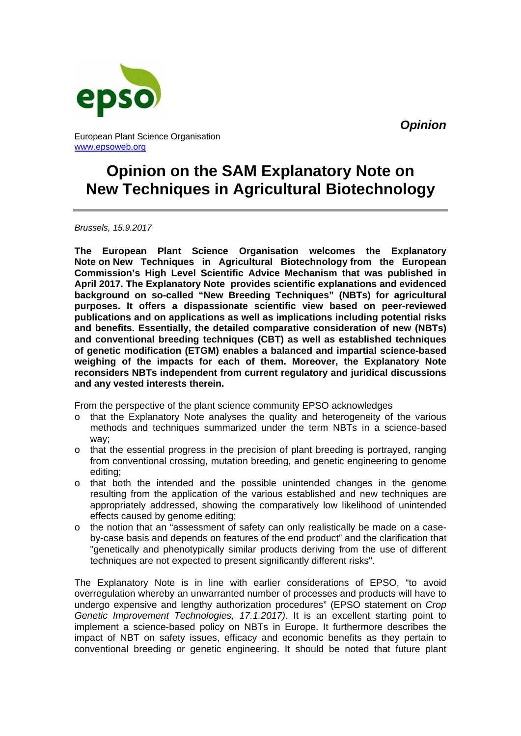*Opinion*



European Plant Science Organisation www.epsoweb.org

# **Opinion on the SAM Explanatory Note on New Techniques in Agricultural Biotechnology**

*Brussels, 15.9.2017* 

**The European Plant Science Organisation welcomes the Explanatory Note on New Techniques in Agricultural Biotechnology from the European Commission's High Level Scientific Advice Mechanism that was published in April 2017. The Explanatory Note provides scientific explanations and evidenced background on so-called "New Breeding Techniques" (NBTs) for agricultural purposes. It offers a dispassionate scientific view based on peer-reviewed publications and on applications as well as implications including potential risks and benefits. Essentially, the detailed comparative consideration of new (NBTs) and conventional breeding techniques (CBT) as well as established techniques of genetic modification (ETGM) enables a balanced and impartial science-based weighing of the impacts for each of them. Moreover, the Explanatory Note reconsiders NBTs independent from current regulatory and juridical discussions and any vested interests therein.** 

From the perspective of the plant science community EPSO acknowledges

- $\circ$  that the Explanatory Note analyses the quality and heterogeneity of the various methods and techniques summarized under the term NBTs in a science-based way;
- $\circ$  that the essential progress in the precision of plant breeding is portrayed, ranging from conventional crossing, mutation breeding, and genetic engineering to genome editing;
- o that both the intended and the possible unintended changes in the genome resulting from the application of the various established and new techniques are appropriately addressed, showing the comparatively low likelihood of unintended effects caused by genome editing;
- $\circ$  the notion that an "assessment of safety can only realistically be made on a caseby-case basis and depends on features of the end product" and the clarification that "genetically and phenotypically similar products deriving from the use of different techniques are not expected to present significantly different risks".

The Explanatory Note is in line with earlier considerations of EPSO, "to avoid overregulation whereby an unwarranted number of processes and products will have to undergo expensive and lengthy authorization procedures" (EPSO statement on *Crop Genetic Improvement Technologies, 17.1.2017)*. It is an excellent starting point to implement a science-based policy on NBTs in Europe. It furthermore describes the impact of NBT on safety issues, efficacy and economic benefits as they pertain to conventional breeding or genetic engineering. It should be noted that future plant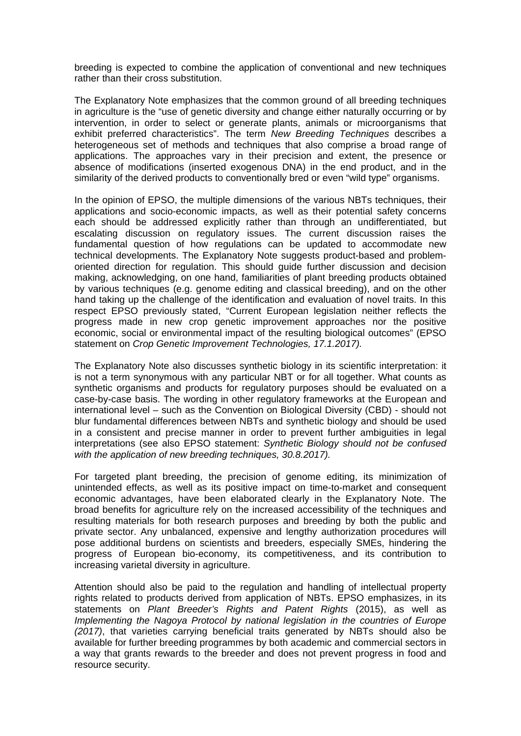breeding is expected to combine the application of conventional and new techniques rather than their cross substitution.

The Explanatory Note emphasizes that the common ground of all breeding techniques in agriculture is the "use of genetic diversity and change either naturally occurring or by intervention, in order to select or generate plants, animals or microorganisms that exhibit preferred characteristics". The term *New Breeding Techniques* describes a heterogeneous set of methods and techniques that also comprise a broad range of applications. The approaches vary in their precision and extent, the presence or absence of modifications (inserted exogenous DNA) in the end product, and in the similarity of the derived products to conventionally bred or even "wild type" organisms.

In the opinion of EPSO, the multiple dimensions of the various NBTs techniques, their applications and socio-economic impacts, as well as their potential safety concerns each should be addressed explicitly rather than through an undifferentiated, but escalating discussion on regulatory issues. The current discussion raises the fundamental question of how regulations can be updated to accommodate new technical developments. The Explanatory Note suggests product-based and problemoriented direction for regulation. This should guide further discussion and decision making, acknowledging, on one hand, familiarities of plant breeding products obtained by various techniques (e.g. genome editing and classical breeding), and on the other hand taking up the challenge of the identification and evaluation of novel traits. In this respect EPSO previously stated, "Current European legislation neither reflects the progress made in new crop genetic improvement approaches nor the positive economic, social or environmental impact of the resulting biological outcomes" (EPSO statement on *Crop Genetic Improvement Technologies, 17.1.2017).*

The Explanatory Note also discusses synthetic biology in its scientific interpretation: it is not a term synonymous with any particular NBT or for all together. What counts as synthetic organisms and products for regulatory purposes should be evaluated on a case-by-case basis. The wording in other regulatory frameworks at the European and international level – such as the Convention on Biological Diversity (CBD) - should not blur fundamental differences between NBTs and synthetic biology and should be used in a consistent and precise manner in order to prevent further ambiguities in legal interpretations (see also EPSO statement: *Synthetic Biology should not be confused with the application of new breeding techniques, 30.8.2017).*

For targeted plant breeding, the precision of genome editing, its minimization of unintended effects, as well as its positive impact on time-to-market and consequent economic advantages, have been elaborated clearly in the Explanatory Note. The broad benefits for agriculture rely on the increased accessibility of the techniques and resulting materials for both research purposes and breeding by both the public and private sector. Any unbalanced, expensive and lengthy authorization procedures will pose additional burdens on scientists and breeders, especially SMEs, hindering the progress of European bio-economy, its competitiveness, and its contribution to increasing varietal diversity in agriculture.

Attention should also be paid to the regulation and handling of intellectual property rights related to products derived from application of NBTs. EPSO emphasizes, in its statements on *Plant Breeder's Rights and Patent Rights* (2015), as well as *Implementing the Nagoya Protocol by national legislation in the countries of Europe (2017)*, that varieties carrying beneficial traits generated by NBTs should also be available for further breeding programmes by both academic and commercial sectors in a way that grants rewards to the breeder and does not prevent progress in food and resource security.